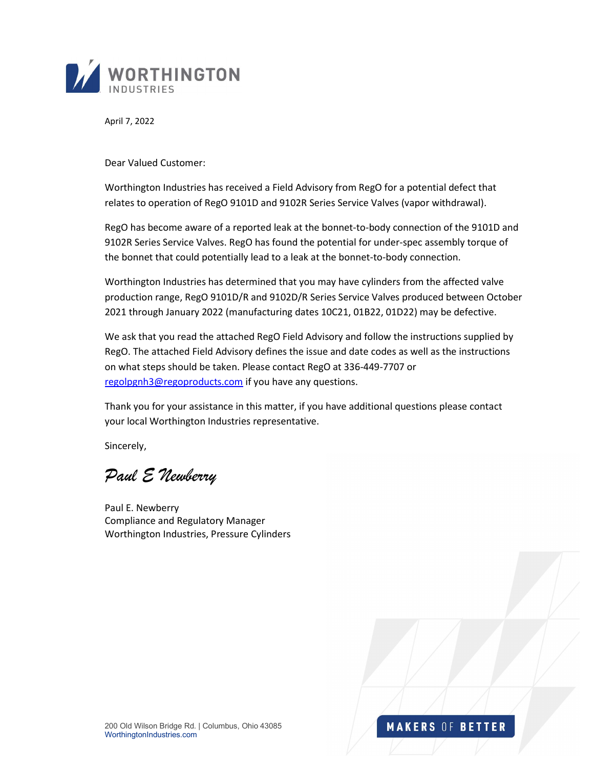

April 7, 2022

Dear Valued Customer:

Worthington Industries has received a Field Advisory from RegO for a potential defect that relates to operation of RegO 9101D and 9102R Series Service Valves (vapor withdrawal).

RegO has become aware of a reported leak at the bonnet-to-body connection of the 9101D and 9102R Series Service Valves. RegO has found the potential for under-spec assembly torque of the bonnet that could potentially lead to a leak at the bonnet-to-body connection.

Worthington Industries has determined that you may have cylinders from the affected valve production range, RegO 9101D/R and 9102D/R Series Service Valves produced between October 2021 through January 2022 (manufacturing dates 10C21, 01B22, 01D22) may be defective.

We ask that you read the attached RegO Field Advisory and follow the instructions supplied by RegO. The attached Field Advisory defines the issue and date codes as well as the instructions on what steps should be taken. Please contact RegO at 336-449-7707 or regolpgnh3@regoproducts.com if you have any questions.

Thank you for your assistance in this matter, if you have additional questions please contact your local Worthington Industries representative.

Sincerely,

Paul E Newberry

Paul E. Newberry Compliance and Regulatory Manager Worthington Industries, Pressure Cylinders